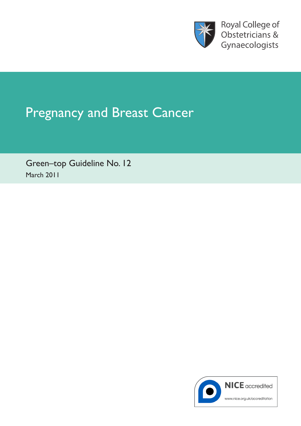

Royal College of Obstetricians & Gynaecologists

# Pregnancy and Breast Cancer

Green–top Guideline No. 12 March 2011

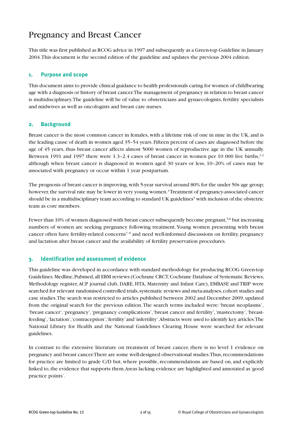## Pregnancy and Breast Cancer

This title was first published as RCOG advice in 1997 and subsequently as a Green-top Guideline in January 2004.This document is the second edition of the guideline and updates the previous 2004 edition.

#### **1. Purpose and scope**

This document aims to provide clinical guidance to health professionals caring for women of childbearing age with a diagnosis or history of breast cancer.The management of pregnancy in relation to breast cancer is multidisciplinary.The guideline will be of value to obstetricians and gynaecologists, fertility specialists and midwives as well as oncologists and breast care nurses.

#### **2. Background**

Breast cancer is the most common cancer in females, with a lifetime risk of one in nine in the UK, and is the leading cause of death in women aged 35–54 years. Fifteen percent of cases are diagnosed before the age of 45 years, thus breast cancer affects almost 5000 women of reproductive age in the UK annually. Between 1991 and 1997 there were 1.3-2.4 cases of breast cancer in women per 10 000 live births,<sup>1,2</sup> although when breast cancer is diagnosed in women aged 30 years or less, 10–20% of cases may be associated with pregnancy or occur within 1 year postpartum.

The prognosis of breast cancer is improving,with 5-year survival around 80% for the under 50s age group; however, the survival rate may be lower in very young women.<sup>3</sup> Treatment of pregnancy-associated cancer should be in a multidisciplinary team according to standard UK guidelines<sup>4</sup> with inclusion of the obstetric team as core members.

Fewer than 10% of women diagnosed with breast cancer subsequently become pregnant, 5,6 but increasing numbers of women are seeking pregnancy following treatment.Young women presenting with breast cancer often have fertility-related concerns<sup>7-9</sup> and need well-informed discussions on fertility, pregnancy and lactation after breast cancer and the availability of fertility preservation procedures.

#### **3. Identification and assessment of evidence**

This guideline was developed in accordance with standard methodology for producing RCOG Green-top Guidelines.Medline,Pubmed,all EBM reviews (Cochrane CRCT,Cochrane Database of Systematic Reviews, Methodology register,ACP journal club, DARE, HTA, Maternity and Infant Care), EMBASE and TRIP were searched for relevant randomised controlled trials, systematic reviews and meta-analyses, cohort studies and case studies.The search was restricted to articles published between 2002 and December 2009, updated from the original search for the previous edition.The search terms included were:'breast neoplasms', 'breast cancer','pregnancy','pregnancy complications','breast cancer and fertility','mastectomy','breastfeeding','lactation','contraception','fertility'and'infertility'.Abstracts were used to identify key articles.The National Library for Health and the National Guidelines Clearing House were searched for relevant guidelines.

In contrast to the extensive literature on treatment of breast cancer, there is no level 1 evidence on pregnancy and breast cancer. There are some well-designed observational studies. Thus, recommendations for practice are limited to grade C/D but, where possible, recommendations are based on, and explicitly linked to,the evidence that supports them.Areas lacking evidence are highlighted and annotated as'good practice points'.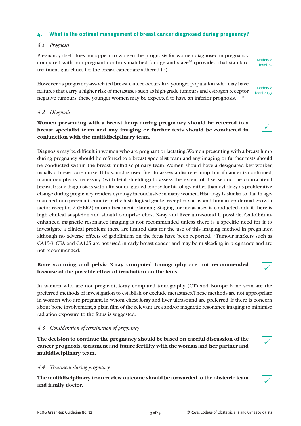#### **4. What is the optimal management of breast cancer diagnosed during pregnancy?**

#### *4.1 Prognosis*

Pregnancy itself does not appear to worsen the prognosis for women diagnosed in pregnancy compared with non-pregnant controls matched for age and stage<sup>10</sup> (provided that standard treatment guidelines for the breast cancer are adhered to).

However, as pregnancy-associated breast cancer occurs in a younger population who may have features that carry a higher risk of metastases such as high-grade tumours and estrogen receptor negative tumours, these younger women may be expected to have an inferior prognosis.<sup>11,12</sup>

#### *4.2 Diagnosis*

### **Women presenting with a breast lump during pregnancy should be referred to a breast specialist team and any imaging or further tests should be conducted in conjunction with the multidisciplinary team.**

Diagnosis may be difficult in women who are pregnant or lactating.Women presenting with a breast lump during pregnancy should be referred to a breast specialist team and any imaging or further tests should be conducted within the breast multidisciplinary team.Women should have a designated key worker, usually a breast care nurse. Ultrasound is used first to assess a discrete lump, but if cancer is confirmed, mammography is necessary (with fetal shielding) to assess the extent of disease and the contralateral breast.Tissue diagnosis is with ultrasound-guided biopsy for histology rather than cytology,as proliferative change during pregnancy renders cytology inconclusive in many women.Histology is similar to that in agematched non-pregnant counterparts: histological grade, receptor status and human epidermal growth factor receptor 2 (HER2) inform treatment planning. Staging for metastases is conducted only if there is high clinical suspicion and should comprise chest X-ray and liver ultrasound if possible. Gadoliniumenhanced magnetic resonance imaging is not recommended unless there is a specific need for it to investigate a clinical problem; there are limited data for the use of this imaging method in pregnancy, although no adverse effects of gadolinium on the fetus have been reported. <sup>13</sup> Tumour markers such as CA15-3,CEA and CA125 are not used in early breast cancer and may be misleading in pregnancy, and are not recommended.

#### **Bone scanning and pelvic X-ray computed tomography are not recommended because of the possible effect of irradiation on the fetus.**

In women who are not pregnant, X-ray computed tomography (CT) and isotope bone scan are the preferred methods of investigation to establish or exclude metastases.These methods are not appropriate in women who are pregnant, in whom chest X-ray and liver ultrasound are preferred. If there is concern about bone involvement, a plain film of the relevant area and/or magnetic resonance imaging to minimise radiation exposure to the fetus is suggested.

#### *4.3 Consideration of termination of pregnancy*

**The decision to continue the pregnancy should be based on careful discussion of the cancer prognosis, treatment and future fertility with the woman and her partner and multidisciplinary team.**

#### *4.4 Treatment during pregnancy*

**The multidisciplinary team review outcome should be forwarded to the obstetric team and family doctor.**



 $\checkmark$ 

 $\checkmark$ 

Evidence level 2–

Evidence level 2+/3

 $\checkmark$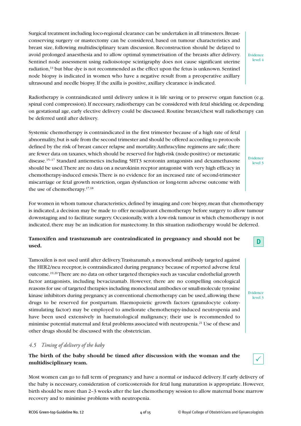Surgical treatment including loco-regional clearance can be undertaken in all trimesters.Breastconserving surgery or mastectomy can be considered, based on tumour characteristics and breast size, following multidisciplinary team discussion. Reconstruction should be delayed to avoid prolonged anaesthesia and to allow optimal symmetrisation of the breasts after delivery. Sentinel node assessment using radioisotope scintigraphy does not cause significant uterine radiation,<sup>14</sup> but blue dye is not recommended as the effect upon the fetus is unknown. Sentinel node biopsy is indicated in women who have a negative result from a preoperative axillary ultrasound and needle biopsy.If the axilla is positive, axillary clearance is indicated.

Evidence level 4

Radiotherapy is contraindicated until delivery unless it is life saving or to preserve organ function (e.g. spinal cord compression). If necessary, radiotherapy can be considered with fetal shielding or, depending on gestational age, early elective delivery could be discussed.Routine breast/chest wall radiotherapy can be deferred until after delivery.

Systemic chemotherapy is contraindicated in the first trimester because of a high rate of fetal abnormality,but is safe from the second trimester and should be offered according to protocols defined by the risk of breast cancer relapse and mortality.Anthracyline regimens are safe; there are fewer data on taxanes,which should be reserved for high-risk (node-positive) or metastatic disease. 15–17 Standard antiemetics including 5HT3 serotonin antagonists and dexamethasone should be used.There are no data on a neurokinin recptor antagonist with very high efficacy in chemotherapy-induced emesis.There is no evidence for an increased rate of second-trimester miscarriage or fetal growth restriction, organ dysfunction or long-term adverse outcome with the use of chemotherapy. 17,18

For women in whom tumour characteristics, defined by imaging and core biopsy, mean that chemotherapy is indicated, a decision may be made to offer neoadjuvant chemotherapy before surgery to allow tumour downstaging and to facilitate surgery.Occasionally,with a low-risk tumour in which chemotherapy is not indicated, there may be an indication for mastectomy. In this situation radiotherapy would be deferred.

### **Tamoxifen and trastuzumab are contraindicated in pregnancy and should not be used.**

Tamoxifen is not used until after delivery.Trastuzumab, a monoclonal antibody targeted against the HER2/neu receptor, is contraindicated during pregnancy because of reported adverse fetal outcome. 19,20There are no data on other targeted therapies such as vascular endothelial growth factor antagonists, including bevacizumab. However, there are no compelling oncological reasons for use of targeted therapies including monoclonal antibodies or small-molecule tyrosine kinase inhibitors during pregnancy as conventional chemotherapy can be used, allowing these drugs to be reserved for postpartum. Haemopoietic growth factors (granulocyte colonystimulating factor) may be employed to ameliorate chemotherapy-induced neutropenia and have been used extensively in haematological malignancy; their use is recommended to minimise potential maternal and fetal problems associated with neutropenia. <sup>21</sup> Use of these and other drugs should be discussed with the obstetrician.

#### *4.5 Timing of delivery of the baby*

#### **The birth of the baby should be timed after discussion with the woman and the multidisciplinary team.**

Most women can go to full term of pregnancy and have a normal or induced delivery.If early delivery of the baby is necessary, consideration of corticosteroids for fetal lung maturation is appropriate. However, birth should be more than 2–3 weeks after the last chemotherapy session to allow maternal bone marrow recovery and to minimise problems with neutropenia.



Evidence level 3

Evidence level 3

 $\checkmark$ 

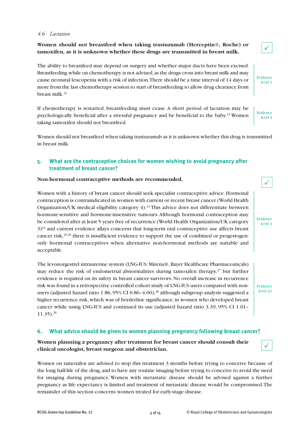#### *4.6 Lactation*

#### **Women should not breastfeed when taking trastuzumab (Herceptin®, Roche) or tamoxifen, as it is unknown whether these drugs are transmitted in breast milk.**

The ability to breastfeed may depend on surgery and whether major ducts have been excised. Breastfeeding while on chemotherapy is not advised,as the drugs cross into breast milk and may cause neonatal leucopenia with a risk of infection.There should be a time interval of 14 days or more from the last chemotherapy session to start of breastfeeding to allow drug clearance from breast milk. 22

If chemotherapy is restarted, breastfeeding must cease.A short period of lactation may be psychologically beneficial after a stressful pregnancy and be beneficial to the baby. <sup>23</sup> Women taking tamoxifen should not breastfeed.

Women should not breastfeed when taking trastuzumab as it is unknown whether this drug is transmitted in breast milk.

#### **5. What are the contraceptive choices for women wishing to avoid pregnancy after treatment of breast cancer?**

#### **Non-hormonal contraceptive methods are recommended.**

Women with a history of breast cancer should seek specialist contraceptive advice. Hormonal contraception is contraindicated in women with current or recent breast cancer (World Health Organization/UK medical eligibility category 4).<sup>24</sup> This advice does not differentiate between hormone-sensitive and hormone-insensitive tumours.Although hormonal contraception may be considered after at least 5 years free of recurrence (World Health Organization/UK category  $3$ <sup>24</sup> and current evidence allays concerns that long-term oral contraceptive use affects breast cancer risk,<sup>25,26</sup> there is insufficient evidence to support the use of combined or progestogenonly hormonal contraceptives when alternative non-hormonal methods are suitable and acceptable.

The levonorgestrel intrauterine system (LNG-IUS: Mirena®,Bayer Healthcare Pharmaceuticals) may reduce the risk of endometrial abnormalities during tamoxifen therapy, <sup>27</sup> but further evidence is required on its safety in breast cancer survivors. No overall increase in recurrence risk was found in a retrospective controlled cohort study of LNG-IUS users compared with nonusers (adjusted hazard ratio 1.86, 95% CI 0.86–4.00), <sup>28</sup> although subgroup analysis suggested a higher recurrence risk, which was of borderline significance, in women who developed breast cancer while using LNG-IUS and continued its use (adjusted hazard ratio 3.39, 95% CI 1.01– 11.35). 28

#### **6. What advice should be given to women planning pregnancy following breast cancer?**

#### **Women planning a pregnancy after treatment for breast cancer should consult their clinical oncologist, breast surgeon and obstetrician.**

Women on tamoxifen are advised to stop this treatment 3 months before trying to conceive because of the long half-life of the drug, and to have any routine imaging before trying to conceive to avoid the need for imaging during pregnancy. Women with metastatic disease should be advised against a further pregnancy as life expectancy is limited and treatment of metastatic disease would be compromised.The remainder of this section concerns women treated for early-stage disease.



| Evidence |  |
|----------|--|
| level 3  |  |

level 4

Evidence

Evidence level 4

Evidence level 2+



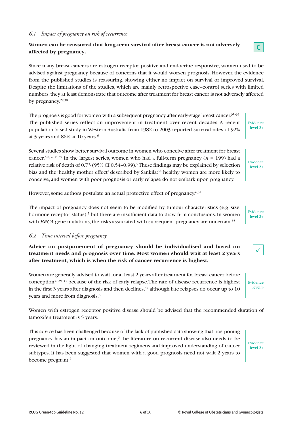#### *6.1 Impact of pregnancy on risk of recurrence*

### **Women can be reassured that long-term survival after breast cancer is not adversely affected by pregnancy.**

Since many breast cancers are estrogen receptor positive and endocrine responsive, women used to be advised against pregnancy because of concerns that it would worsen prognosis. However, the evidence from the published studies is reassuring, showing either no impact on survival or improved survival. Despite the limitations of the studies, which are mainly retrospective case–control series with limited numbers,they at least demonstrate that outcome after treatment for breast cancer is not adversely affected by pregnancy. 29,30

The prognosis is good for women with a subsequent pregnancy after early-stage breast cancer.<sup>31-33</sup> The published series reflect an improvement in treatment over recent decades. A recent population-based study in Western Australia from 1982 to 2003 reported survival rates of 92% at 5 years and 86% at 10 years. $^6$ 

Several studies show better survival outcome in women who conceive after treatment for breast cancer.<sup>5,6,32,34,35</sup> In the largest series, women who had a full-term pregnancy ( $n = 199$ ) had a relative risk of death of 0.73 (95% CI 0.54–0.99). 5These findings may be explained by selection bias and the 'healthy mother effect' described by Sankila: <sup>36</sup> healthy women are more likely to conceive, and women with poor prognosis or early relapse do not embark upon pregnancy.

However, some authors postulate an actual protective effect of pregnancy.<sup>6,37</sup>

The impact of pregnancy does not seem to be modified by tumour characteristics (e.g. size, hormone receptor status),<sup>5</sup> but there are insufficient data to draw firm conclusions. In women with *BRCA* gene mutations, the risks associated with subsequent pregnancy are uncertain. $38$ 

#### *6.2 Time interval before pregnancy*

**Advice on postponement of pregnancy should be individualised and based on treatment needs and prognosis over time. Most women should wait at least 2 years after treatment, which is when the risk of cancer recurrence is highest.**

Women are generally advised to wait for at least 2 years after treatment for breast cancer before conception37,39–41 because of the risk of early relapse.The rate of disease recurrence is highest in the first 3 years after diagnosis and then declines, $^{42}$  although late relapses do occur up to 10  $^{\circ}$ years and more from diagnosis. 3

Women with estrogen receptor positive disease should be advised that the recommended duration of tamoxifen treatment is 5 years.

This advice has been challenged because of the lack of published data showing that postponing pregnancy has an impact on outcome; <sup>6</sup> the literature on recurrent disease also needs to be reviewed in the light of changing treatment regimens and improved understanding of cancer subtypes. It has been suggested that women with a good prognosis need not wait 2 years to become pregnant. 6

Evidence level 2+

Evidence level 2+

**C**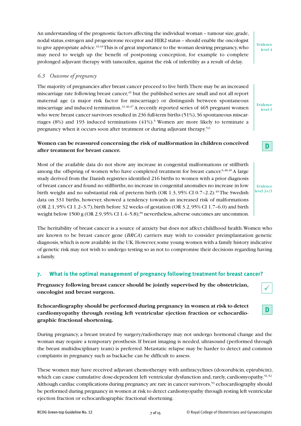An understanding of the prognostic factors affecting the individual woman – tumour size,grade, nodal status,estrogen and progesterone receptor and HER2 status – should enable the oncologist to give appropriate advice.<sup>43,44</sup>This is of great importance to the woman desiring pregnancy, who may need to weigh up the benefit of postponing conception, for example to complete prolonged adjuvant therapy with tamoxifen, against the risk of infertility as a result of delay.

#### *6.3 Outcome of pregnancy*

The majority of pregnancies after breast cancer proceed to live birth.There may be an increased miscarriage rate following breast cancer, <sup>45</sup> but the published series are small and not all report maternal age (a major risk factor for miscarriage) or distinguish between spontaneous miscarriage and induced termination.<sup>31,46,47</sup> A recently reported series of 465 pregnant women who were breast cancer survivors resulted in 236 full-term births (51%), 36 spontaneous miscarriages (8%) and 193 induced terminations (41%). <sup>5</sup> Women are more likely to terminate a pregnancy when it occurs soon after treatment or during adjuvant therapy.<sup>5,6</sup>

### **Women can be reassured concerning the risk of malformation in children conceived after treatment for breast cancer.**

Most of the available data do not show any increase in congenital malformations or stillbirth among the offspring of women who have completed treatment for breast cancer.<sup>6,48,49</sup> A large study derived from the Danish registries identified 216 births to women with a prior diagnosis of breast cancer and found no stillbirths,no increase in congenital anomalies no increase in low birth weight and no substantial risk of preterm birth (OR 1.3, 95% CI 0.7–2.2). <sup>49</sup> The Swedish data on 331 births, however, showed a tendency towards an increased risk of malformations (OR 2.1,95% CI 1.2–3.7),birth before 32 weeks of gestation (OR 3.2,95% CI 1.7–6.0) and birth weight below 1500 g (OR 2.9, 95% CI 1.4–5.8);<sup>50</sup> nevertheless, adverse outcomes are uncommon.

The heritability of breast cancer is a source of anxiety but does not affect childhood health.Women who are known to be breast cancer gene (*BRCA*) carriers may wish to consider preimplantation genetic diagnosis,which is now available in the UK.However,some young women with a family history indicative of genetic risk may not wish to undergo testing so as not to compromise their decisions regarding having a family.

#### **7. What is the optimal management of pregnancy following treatment for breast cancer?**

**Pregnancy following breast cancer should be jointly supervised by the obstetrician, oncologist and breast surgeon.**

**Echocardiography should be performed during pregnancy in women at risk to detect cardiomyopathy through resting left ventricular ejection fraction or echocardiographic fractional shortening.**

During pregnancy, a breast treated by surgery/radiotherapy may not undergo hormonal change and the woman may require a temporary prosthesis. If breast imaging is needed, ultrasound (performed through the breast multidisciplinary team) is preferred. Metastatic relapse may be harder to detect and common complaints in pregnancy such as backache can be difficult to assess.

These women may have received adjuvant chemotherapy with anthracyclines (doxorubicin, epirubicin), which can cause cumulative dose-dependent left ventricular dysfunction and, rarely, cardiomyopathy.<sup>51,52</sup> Although cardiac complications during pregnancy are rare in cancer survivors,<sup>53</sup> echocardiography should be performed during pregnancy in women at risk to detect cardiomyopathy through resting left ventricular ejection fraction or echocardiographic fractional shortening.

Evidence level 4

Evidence level 3



| Evidence     |
|--------------|
| level $2+/3$ |

**D**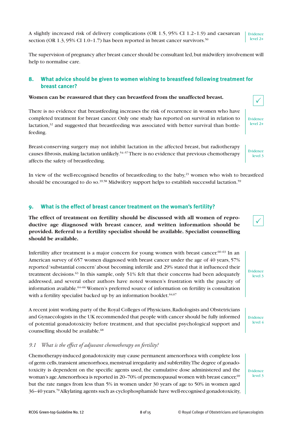The supervision of pregnancy after breast cancer should be consultant led, but midwifery involvement will help to normalise care.

#### **8. What advice should be given to women wishing to breastfeed following treatment for breast cancer?**

#### **Women can be reassured that they can breastfeed from the unaffected breast.**

There is no evidence that breastfeeding increases the risk of recurrence in women who have completed treatment for breast cancer. Only one study has reported on survival in relation to lactation, $32$  and suggested that breastfeeding was associated with better survival than bottlefeeding.

Breast-conserving surgery may not inhibit lactation in the affected breast, but radiotherapy causes fibrosis, making lactation unlikely.<sup>54-57</sup> There is no evidence that previous chemotherapy affects the safety of breastfeeding.

In view of the well-recognised benefits of breastfeeding to the baby, <sup>23</sup> women who wish to breastfeed should be encouraged to do so.<sup>39,58</sup> Midwifery support helps to establish successful lactation.<sup>59</sup>

#### **9. What is the effect of breast cancer treatment on the woman's fertility?**

**The effect of treatment on fertility should be discussed with all women of reproductive age diagnosed with breast cancer, and written information should be provided. Referral to a fertility specialist should be available. Specialist counselling should be available.**

Infertility after treatment is a major concern for young women with breast cancer.<sup>60-63</sup> In an American survey of 657 women diagnosed with breast cancer under the age of 40 years, 57% reported 'substantial concern' about becoming infertile and 29% stated that it influenced their treatment decisions.<sup>63</sup> In this sample, only 51% felt that their concerns had been adequately addressed, and several other authors have noted women's frustration with the paucity of information available. 64–66 Women's preferred source of information on fertility is consultation with a fertility specialist backed up by an information booklet.  $64,67$ 

A recent joint working party of the Royal Colleges of Physicians,Radiologists and Obstetricians and Gynaecologists in the UK recommended that people with cancer should be fully informed of potential gonadotoxicity before treatment, and that specialist psychological support and counselling should be available. 68

#### *9.1 What is the effect of adjuvant chemotherapy on fertility?*

Chemotherapy-induced gonadotoxicity may cause permanent amenorrhoea with complete loss of germ cells,transient amenorrhoea,menstrual irregularity and subfertility.The degree of gonadotoxicity is dependent on the specific agents used, the cumulative dose administered and the woman's age.Amenorrhoea is reported in 20–70% of premenopausal women with breast cancer, $^{69}$ but the rate ranges from less than 5% in women under 30 years of age to 50% in women aged 36–40 years. 70Alkylating agents such as cyclophosphamide have well-recognised gonadotoxicity,

Evidence level 3



Evidence level 4



Evidence level 2+

Evidence level 3

 $\checkmark$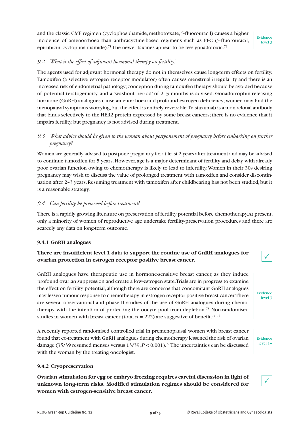and the classic CMF regimen (cyclophosphamide, methotrexate, 5-fluorouracil) causes a higher incidence of amenorrhoea than anthracycline-based regimens such as FEC (5-fluorouracil, epirubicin, cyclophosphamide).<sup>71</sup> The newer taxanes appear to be less gonadotoxic.<sup>72</sup>

Evidence level 3

#### *9.2 What is the effect of adjuvant hormonal therapy on fertility?*

The agents used for adjuvant hormonal therapy do not in themselves cause long-term effects on fertility. Tamoxifen (a selective estrogen receptor modulator) often causes menstrual irregularity and there is an increased risk of endometrial pathology;conception during tamoxifen therapy should be avoided because of potential teratogenicity, and a 'washout period' of 2–3 months is advised. Gonadotrophin-releasing hormone (GnRH) analogues cause amenorrhoea and profound estrogen deficiency; women may find the menopausal symptoms worrying,but the effect is entirely reversible.Trastuzumab is a monoclonal antibody that binds selectively to the HER2 protein expressed by some breast cancers;there is no evidence that it impairs fertility, but pregnancy is not advised during treatment.

#### *9.3 What advice should be given to the woman about postponement of pregnancy before embarking on further pregnancy?*

Women are generally advised to postpone pregnancy for at least 2 years after treatment and may be advised to continue tamoxifen for 5 years. However, age is a major determinant of fertility and delay with already poor ovarian function owing to chemotherapy is likely to lead to infertility.Women in their 30s desiring pregnancy may wish to discuss the value of prolonged treatment with tamoxifen and consider discontinuation after 2-3 years. Resuming treatment with tamoxifen after childbearing has not been studied, but it is a reasonable strategy.

#### *9.4 Can fertility be preserved before treatment?*

There is a rapidly growing literature on preservation of fertility potential before chemotherapy.At present, only a minority of women of reproductive age undertake fertility-preservation procedures and there are scarcely any data on long-term outcome.

#### **9.4.1 GnRH analogues**

#### **There are insufficient level 1 data to support the routine use of GnRH analogues for ovarian protection in estrogen receptor positive breast cancer.**

GnRH analogues have therapeutic use in hormone-sensitive breast cancer, as they induce profound ovarian suppression and create a low-estrogen state.Trials are in progress to examine the effect on fertility potential, although there are concerns that concomitant GnRH analogues may lessen tumour response to chemotherapy in estrogen receptor positive breast cancer.There are several observational and phase II studies of the use of GnRH analogues during chemotherapy with the intention of protecting the oocyte pool from depletion.<sup>73</sup> Non-randomised studies in women with breast cancer (total  $n = 222$ ) are suggestive of benefit.<sup>74-76</sup>

A recently reported randomised controlled trial in premenopausal women with breast cancer found that co-treatment with GnRH analogues during chemotherapy lessened the risk of ovarian damage (35/39 resumed menses versus 13/39,*P* < 0.001). 77The uncertainties can be discussed with the woman by the treating oncologist.

#### **9.4.2 Cryopreservation**

**Ovarian stimulation for egg or embryo freezing requires careful discussion in light of unknown long-term risks. Modified stimulation regimes should be considered for women with estrogen-sensitive breast cancer.**







Evidence level 1+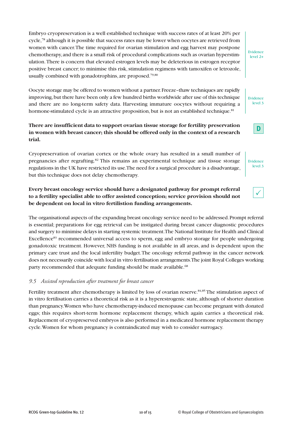Embryo cryopreservation is a well established technique with success rates of at least 20% per cycle, <sup>78</sup> although it is possible that success rates may be lower when oocytes are retrieved from women with cancer.The time required for ovarian stimulation and egg harvest may postpone chemotherapy, and there is a small risk of procedural complications such as ovarian hyperstimulation.There is concern that elevated estrogen levels may be deleterious in estrogen receptor positive breast cancer; to minimise this risk, stimulation regimens with tamoxifen or letrozole, usually combined with gonadotrophins, are proposed. 79,80

Oocyte storage may be offered to women without a partner.Freeze–thaw techniques are rapidly improving,but there have been only a few hundred births worldwide after use of this technique and there are no long-term safety data. Harvesting immature oocytes without requiring a hormone-stimulated cycle is an attractive proposition, but is not an established technique.<sup>81</sup>

#### **There are insufficient data to support ovarian tissue storage for fertility preservation in women with breast cancer; this should be offered only in the context of a research trial.**

Cryopreservation of ovarian cortex or the whole ovary has resulted in a small number of pregnancies after regrafting. <sup>82</sup> This remains an experimental technique and tissue storage regulations in the UK have restricted its use.The need for a surgical procedure is a disadvantage, but this technique does not delay chemotherapy.

### **Every breast oncology service should have a designated pathway for prompt referral to a fertility specialist able to offer assisted conception; service provision should not be dependent on local in vitro fertilistion funding arrangements.**

The organisational aspects of the expanding breast oncology service need to be addressed.Prompt referral is essential; preparations for egg retrieval can be instigated during breast cancer diagnostic procedures and surgery to minimise delays in starting systemic treatment.The National Institute for Health and Clinical Excellence<sup>83</sup> recommended universal access to sperm, egg and embryo storage for people undergoing gonadotoxic treatment. However, NHS funding is not available in all areas, and is dependent upon the primary care trust and the local infertility budget.The oncology referral pathway in the cancer network does not necessarily coincide with local in vitro fertilisation arrangements.The joint Royal Colleges working party recommended that adequate funding should be made available.<sup>68</sup>

#### *9.5 Assisted reproduction after treatment for breast cancer*

Fertility treatment after chemotherapy is limited by loss of ovarian reserve. 84,85 The stimulation aspect of in vitro fertilisation carries a theoretical risk as it is a hyperestrogenic state, although of shorter duration than pregnancy.Women who have chemotherapy-induced menopause can become pregnant with donated eggs; this requires short-term hormone replacement therapy, which again carries a theoretical risk. Replacement of cryopreserved embryos is also performed in a medicated hormone replacement therapy cycle.Women for whom pregnancy is contraindicated may wish to consider surrogacy.

Evidence level 3



Evidence level 3

|--|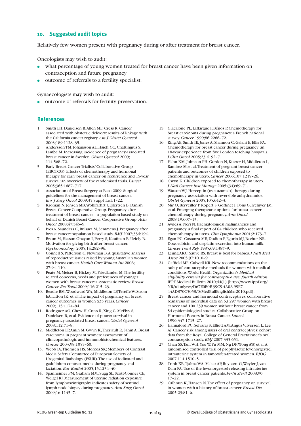#### **10. Suggested audit topics**

Relatively few women present with pregnancy during or after treatment for breast cancer.

Oncologists may wish to audit:

- what percentage of young women treated for breast cancer have been given information on contraception and future pregnancy
- **●** outcome of referrals to a fertility specialist.

Gynaecologists may wish to audit:

**●** outcome of referrals for fertility preservation.

#### **References**

- 1. Smith LH, Danielsen B,Allen ME,Cress R.Cancer associated with obstetric delivery: results of linkage with the California cancer registry.*Am J Obstet Gynecol* 2003;189:1128–35.
- 2. Andersson TM, Johansson AL, Hsieh CC, Cnattingius S, Lambe M.Increasing incidence of pregnancy-associated breast cancer in Sweden. *Obstet Gynecol* 2009; 114:568–72.
- 3. Early Breast CancerTrialists'Collaborative Group (EBCTCG). Effects of chemotherapy and hormonal therapy for early breast cancer on recurrence and 15-year survival: an overview of the randomised trials. *Lancet* 2005;365:1687–717.
- 4. Association of Breast Surgery at Baso 2009. Surgical guidelines for the management of breast cancer. *Eur J Surg Oncol* 2009;35 Suppl 1:s1.1–22.
- 5. Kroman N,Jensen MB,Wohlfarhrt J, Ejlertsen B; Danish Breast Cancer Cooperative Group. Pregnancy after treatment of breast cancer – a population-based study on behalf of Danish Breast Cancer Cooperative Group. *Acta Oncol* 2008;47:545–9.
- 6. Ives A, Saunders C,Bulsara M, Semmens J. Pregnancy after breast cancer:population based study.*BMJ* 2007;334:194.
- 7. Braun M, Hasson-Ohayon I, Perry S,Kaufman B,Uziely B. Motivation for giving birth after breast cancer. *Psychooncology* 2005;14:282–96.
- 8. Connell S, Patterson C, Newman B.A qualitative analysis of reproductive issues raised by young Australian women with breast cancer.*Health Care Women Int* 2006; 27:94–110.
- 9. Peate M, Meiser B, Hickey M, Friedlander M.The fertilityrelated concerns, needs and preferences of younger women with breast cancer: a systematic review.*Breast Cancer Res Treat* 2009;116:215–23.
- 10. Beadle BM,Woodward WA, Middleton LP,Tereffe W, Strom EA, Litton JK, et al.The impact of pregnancy on breast cancer outcomes in women ≤35 years.*Cancer* 2009;115:1174–84.
- 11. Rodriguez AO,Chew H,Cress R,Xing G, McElvy S, Danielsen B, et al. Evidence of poorer survival in pregnancy-associated breast cancer. *Obstet Gynecol* 2008;112:71–8.
- 12. Middleton LP,Amin M, Gwyn K,Theriault R, Sahin A.Breast carcinoma in pregnant women: assessment of clinicopathologic and immunohistochemical features. *Cancer* 2003;98:1055–60.
- 13. Webb JA,Thomsen HS, Morcos SK; Members of Contrast Media Safety Committee of European Society of Urogenital Radiology (ESUR).The use of iodinated and gadolinium contrast media during pregnancy and lactation. *Eur Radiol* 2005;15:1234–40.
- 14. Spanheimer PM, Graham MM, Sugg SL, Scott-Conner CE, Weigel RJ. Measurement of uterine radiation exposure from lymphoscintigraphy indicates safety of sentinel lymph node biopsy during pregnancy.*Ann Surg Oncol* 2009;16:1143–7.
- 15. Giacalone PL, Laffargue F,Bénos P.Chemotherapy for breast carcinoma during pregnancy: a French national survey.*Cancer* 1999;86:2266–72.
- 16. Ring AE, Smith IE,Jones A, Shannon C, Galani E, Ellis PA. Chemotherapy for breast cancer during pregnancy: an 18-year experience from five London teaching hospitals. *J Clin Oncol* 2005;23:4192–7.
- 17. Hahn KM, Johnson PH, Gordon N, Kuerer H, Middleton L, Ramirez M, et al.Treatment of pregnant breast cancer patients and outcomes of children exposed to chemotherapy in utero.*Cancer* 2006;107:1219–26.
- 18. Gwyn K.Children exposed to chemotherapy in utero. *J Natl Cancer Inst Monogr* 2005;(34):69–71.
- 19. Watson WJ. Herceptin (trastuzumab) therapy during pregnancy: association with reversible anhydramnios. *Obstet Gynecol* 2005;105:642–3.
- 20. Mir O,Berveiller P,Ropert S, Goffinet F, Pons G,Treluyer JM, et al. Emerging therapeutic options for breast cancer chemotherapy during pregnancy.*Ann Oncol* 2008;19:607–13.
- 21. Avilés A, Neri N. Haematological malignancies and pregnancy: a final report of 84 children who received chemotherapy in utero. *Clin Lymphoma* 2001;2:173–7.
- 22. Egan PC,Costanza ME, Dodion P, Egorin MJ,Bachur NR. Doxorubicin and cisplatin excretion into human milk. *Cancer Treat Rep* 1985;69:1387–9.
- 23. Leung AKC, Sauve RS.Breast is best for babies.*J Natl Med Assoc* 2005;97:1010–9.
- 24. Gaffield ME, Culwell KR. New recommendations on the safety of contraceptive methods for women with medical conditions:World Health Organization's *Medical eligibility criteria for contraceptive use, fourth edition*. IPPF Medical Bulletin 2010;44(1) [http://www.ippf.org/ NR/rdonlyres/D67E0B0E-39C9-4A0A-99E7- 44AD870C5058/0/MedBullEnglishMar2010.pdf].
- 25. Breast cancer and hormonal contraceptives: collaborative reanalysis of individual data on 53 297 women with breast cancer and 100 239 women without breast cancer from 54 epidemiological studies.Collaborative Group on Hormonal Factors in Breast Cancer. *Lancet* 1996;347:1713–27.
- 26. Hannaford PC, Selvaraj S, Elliott AM,Angus V,Iversen L, Lee AJ.Cancer risk among users of oral contraceptives: cohort data from the Royal College of General Practitioner's oral contraception study.*BMJ* 2007;335:651.
- 27. Chan SS, Tam WH, Yeo W, Yu MM, Ng DP, Wong AW, et al. A randomised controlled trial of prophylactic levonorgestrel intrauterine system in tamoxifen-treated women.*BJOG* 2007;114:1510–5.
- 28. Trinh XB,Tjalma WA, Makar AP,Buytaert G,Weyler J, van Dam PA.Use of the levonorgestrel-releasing intrauterine system in breast cancer patients. *Fertil Steril* 2008;90: 17–22.
- 29. Calhoun K, Hansen N.The effect of pregnancy on survival in women with a history of breast cancer.*Breast Dis* 2005;23:81–6.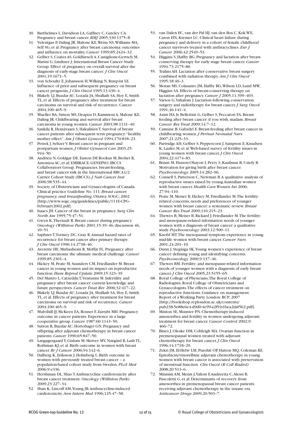30. Barthelmes L, Davidson LA, Gaffney C, Gateley CA. Pregnancy and breast cancer.*BMJ* 2005;330:1375–8.

- 31. Velentgas P, Daling JR, Malone KE,Weiss NS,Williams MA, Self SG, et al. Pregnancy after breast carcinoma: outcomes and influence on mortality.*Cancer* 1999;85:2424–32.
- 32. Gelber S,Coates AS, Goldhirsch A,Castiglione-Gertsch M, Marini G, Lindtner J; International Breast Cancer Study Group. Effect of pregnancy on overall survival after the diagnosis of early-stage breast cancer. *J Clin Oncol* 2001;19:1671–5.
- 33. von Schoultz E,Johansson H,Wilking N,Rutqvist LE. Influence of prior and subsequent pregnancy on breast cancer prognosis.*J Clin Oncol* 1995;13:430–4.
- 34. Blakely LJ,Buzdar AU, Lozada JA, Shullaih SA, Hoy E, Smith TL, et al. Effects of pregnancy after treatment for breast carcinoma on survival and risk of recurrence.Cancer 2004;100:465–9.
- 35. Mueller BA, Simon MS, Deapen D,Kamineni A, Malone KE, Daling JR.Childbearing and survival after breast carcinoma in young women.*Cancer* 2003;98:1131–40.
- 36. Sankila R, Heinävaara S, HakulinenT. Survival of breast cancer patients after subsequent term pregnancy:"healthy mother effect".*Am J Obstet Gynecol* 1994;170:818–23.
- 37. Petrek J, Seltzer V.Breast cancer in pregnant and postpartum women.*J Obstet Gynaecol Can* 2003;25: 944–50.
- 38. Andrieu N, Goldgar DE, Easton DF,Rookus M,Brohet R, Antoniou AC, et al; EMBRACE; GENEPSO; IBCCS Collaborators Group. Pregnancies, breast-feeding, and breast cancer risk in the International BRCA1/2 Carrier Cohort Study (IBCCS).*J Natl Cancer Inst* 2006;98:535–44.
- 39. Society of Obstetricians and Gynaecologists of Canada. Clinical practice Guideline No. 111:*Breast cancer, pregnancy, and breastfeeding*.Ottawa: SOGC; 2002 [http://www.sogc.org/guidelines/public/111E-CPG-February2002.pdf].
- 40. Isaacs JH.Cancer of the breast in pregnancy. *Surg Clin North Am* 1995;75:47–51.
- 41. Gwyn K,Theriault R.Breast cancer during pregnancy. *Oncology (Williston Park)* 2001;15:39–46; discussion 46, 49–51.
- 42. SaphnerT,Tormey DC, Gray R.Annual hazard rates of recurrence for breast cancer after primary therapy. *J Clin Oncol* 1996;14:2738–46.
- 43. Averette HE, Mirhashemi R, Moffat FL. Pregnancy after breast carcinoma:the ultimate medical challenge.*Cancer* 1999;85:2301–4.
- 44. Hickey M, Peate M, Saunders CM, Friedlander M.Breast cancer in young women and its impact on reproductive function.*Hum Reprod Update* 2009;15:323–39.
- 45. Del Mastro L,CatzedduT,Venturini M.Infertility and pregnancy after breast cancer: current knowledge and future perspectives.*Cancer Treat Rev* 2006;32:417–22.
- 46. Blakely LJ,Buzdar AU, Lozada JA, Shullaih SA, Hoy E, Smith TL, et al. Effects of pregnancy after treatment for breast carcinoma on survival and risk of recurrence.*Cancer* 2004;100:465–9.
- 47. Mulvihill JJ, McKeen EA,Rosner F,Zarrabi MH. Pregnancy outcome in cancer patients. Experience in a large cooperative group.*Cancer* 1987;60:1143–50.
- 48. Sutton R,Buzdar AU, Hortobagyi GN. Pregnancy and offspring after adjuvant chemotherapy in breast cancer patients.*Cancer* 1990;65:847–50.
- 49. Langagergaard V, Gislum M, Skriver MV,Nørgård B, LashTL, Rothman KJ, et al.Birth outcome in women with breast cancer.*Br J Cancer* 2006;94:142–6.
- 50. Dalberg K, Eriksson J, Holmberg L.Birth outcome in women with previously treated breast cancer – a population-based cohort study from Sweden.*PLoS Med* 2006;9:e336.
- 51. Hershman DL, ShaoT.Anthracycline cardiotoxicity after breast cancer treatment. *Oncology (Williston Park)* 2009;23:227–34.
- 52. Shan K, Lincoff AM,Young JB.Anthracycline-induced cardiotoxicity.*Ann Intern Med* 1996;125:47–58.
- 53. van Dalen EC, van der Pal HJ, van den Bos C,Kok WE, Caron HN, Kremer LC. Clinical heart failure during pregnancy and delivery in a cohort of female childhood cancer survivors treated with anthracyclines. *Eur J Cancer* 2006;42:2549–53.
- 54. Higgins S, Haffty BG. Pregnancy and lactation after breastconserving therapy for early stage breast cancer.*Cancer* 1994;73:2175–80.
- 55. Tralins AH. Lactation after conservative breast surgery combined with radiation therapy.*Am J Clin Oncol* 1995;18:40–3.
- 56. Moran MS,Colasanto JM, Haffty BG,Wilson LD, Lund MW, Higgins SA. Effects of breast-conserving therapy on lactation after pregnancy.*Cancer J* 2005;11:399–403.
- 57. Varsos G,Yahalom J. Lactation following conservation surgery and radiotherapy for breast cancer.*J Surg Oncol* 1991;46:141–4.
- 58. Azim HA Jr, Bellettini G, Gelber S, Peccatori FA. Breastfeeding after breast cancer: if you wish, madam.*Breast Cancer Res Treat* 2009;14:7–12.
- 59. Camune B, Gabzdyl E.Breast-feeding after breast cancer in childbearing women.*J Perinat Neonatal Nurs* 2007;21:225–33.
- 60. Partridge AH, Gelber S, Peppercorn J, Sampson E,Knudsen K, Laufer, M, et al.Web-based survey of fertility issues in young women with breast cancer.*J Clin Oncol* 2004;22:4174–83.
- 61. Braun M, Hasson-Ohayon I, Perry S, Kaufman B, Uziely B. Motivation for giving birth after breast cancer. *Psychooncology* 2005;14:282–96.
- 62. Connell S, Patterson C,Newman B.A qualitative analysis of reproductive issues raised by young Australian women with breast cancer.*Health Care Women Int* 2006; 27:94–110.
- 63. Peate M, Meiser B, Hickey M, Friedlander M.The fertilityrelated concerns, needs and preferences of younger women with breast cancer: a systematic review.*Breast Cancer Res Treat* 2009;116:215–23.
- 64. Thewes B, Meiser B,Rickard J, Friedlander M.The fertilityand menopause-related information needs of younger women with a diagnosis of breast cancer: a qualitative study.*Psychooncology* 2003;12:500–11.
- 65. Knobf MT.The menopausal symptom experience in young mid-life women with breast cancer.*Cancer Nurs* 2001;24:201–10.
- 66. Dunn J, Steginga SK.Young women's experience of breast cancer: defining young and identifying concerns. *Psychooncology* 2000;9:137–46.
- 67. Thewes BM. Fertility- and menopause-related information needs of younger women with a diagnosis of early breast cancer.*J Clin Oncol* 2005;23:5155–65.
- 68. Royal College of Physicians,The Royal College of Radiologists,Royal College of Obstetricians and Gynaecologists.The effects of cancer treatment on reproductive functions. Guidance on management. Report of a Working Party. London:RCP; 2007 [http://bookshop.rcplondon.ac.uk/contents/ pub238-5e88e6e4-d9d0-4e99-a2f9-b1bea2daf562.pdf].
- 69. Minton SE, Munster PN.Chemotherapy-induced amenorrhea and fertility in women undergoing adjuvant treatment for breast cancer.*Cancer Control* 2002;9: 466–72.
- 70. Bines J,Oleske DM,Cobleigh MA.Ovarian function in premenopausal women treated with adjuvant chemotherapy for breast cancer.*J Clin Oncol* 1996;14:1718–29.
- 71. Zekri JM, El-Helw LM, Purohit OP, Hatton MQ,Coleman RE. Epirubicin/vinorelbine adjuvant chemotherapy in young women with breast cancer is associated with preservation of menstrual function. *Clin Oncol (R Coll Radiol)* 2008;20:513–6.
- 72. Minisini AM, Menis J,Valent F,Andreetta C,Alessi B, Pascoletti G, et al. Determinants of recovery from amenorrhea in premenopausal breast cancer patients receiving adjuvant chemotherapy in the taxane era. *Anticancer Drugs* 2009;20:503–7.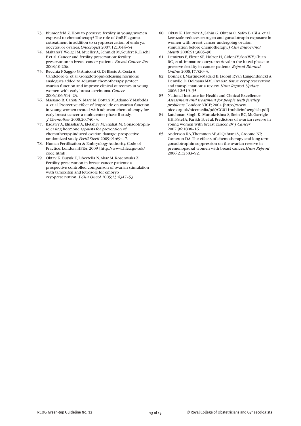- 73. Blumenfeld Z. How to preserve fertility in young women exposed to chemotherapy?The role of GnRH agonist cotreatment in addition to cryopreservation of embrya, oocytes, or ovaries. *Oncologist* 2007;12:1044–54.
- 74. MaltarisT,Weigel M, Mueller A, Schmidt M, Seufert R, Fischl F, et al. Cancer and fertility preservation: fertility preservation in breast cancer patients.*Breast Cancer Res* 2008;10:206.
- 75. Recchia F, Saggio G,Amiconi G, Di Blasio A,Cesta A, Candeloro G, et al. Gonadotropin-releasing hormone analogues added to adjuvant chemotherapy protect ovarian function and improve clinical outcomes in young women with early breast carcinoma.*Cancer* 2006;106:514–23.
- 76. Maisano R,Caristi N, Mare M,Bottari M,Adamo V, Mafodda A, et al. Protective effect of leuprolide on ovarian function in young women treated with adjuvant chemotherapy for early breast cancer: a multicenter phase II study. *J Chemother* 2008;20:740–3.
- 77. Badawy A, Elnashar A, El-Ashry M, Shahat M. Gonadotropinreleasing hormone agonists for prevention of chemotherapy-induced ovarian damage: prospective randomized study. *Fertil Steril* 2009;91:694–7.
- 78. Human Fertilisation & Embryology Authority.Code of Practice. London: HFEA; 2009 [http://www.hfea.gov.uk/ code.html].
- 79. Oktay K,Buyuk E, Libertella N,Akar M,Rosenwaks Z. Fertility preservation in breast cancer patients: a prospective controlled comparison of ovarian stimulation with tamoxifen and letrozole for embryo cryopreservation. *J Clin Oncol* 2005;23:4347–53.
- 80. Oktay K, Hourvitz A, Sahin G,Oktem O, Safro B,Cil A, et al. Letrozole reduces estrogen and gonadotropin exposure in women with breast cancer undergoing ovarian stimulation before chemotherapy.*J Clin Endocrinol Metab* 2006;91:3885–90.
- 81. Demirtas E, Elizur SE, Holzer H, GidoniY, Son WY,Chian RC, et al.Immature oocyte retrieval in the luteal phase to preserve fertility in cancer patients.*Reprod Biomed Online* 2008;17:520–3.
- 82. Donnez J, Martinez-Madrid B,Jadoul P,Van Langendonckt A, Demylle D, Dolmans MM.Ovarian tissue cryopreservation and transplantation: a review.*Hum Reprod Update* 2006;12:519–35.
- 83. National Institute for Health and Clinical Excellence. *Assessment and treatment for people with fertility problems*. London:NICE; 2004 [http://www. nice.org.uk/nicemedia/pdf/CG011publicinfoenglish.pdf].
- 84. Lutchman Singh K, Muttukrishna S, Stein RC, McGarrigle HH, Patel A, Parikh B, et al. Predictors of ovarian reserve in young women with breast cancer.*Br J Cancer* 2007;96:1808–16.
- 85. Anderson RA,Themmen AP,Al-Qahtani A, Groome NP, Cameron DA.The effects of chemotherapy and long-term gonadotrophin suppression on the ovarian reserve in premenopausal women with breast cancer.*Hum Reprod* 2006;21:2583–92.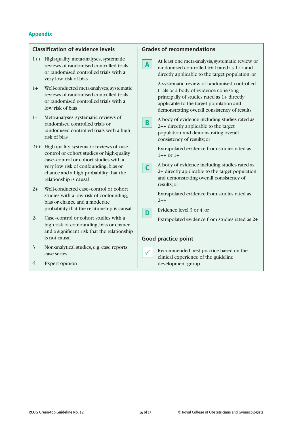#### **Appendix**

#### **Classification of evidence levels**

- 1++ High-quality meta-analyses, systematic reviews of randomised controlled trials or randomised controlled trials with a very low risk of bias
- 1+ Well-conducted meta-analyses, systematic reviews of randomised controlled trials or randomised controlled trials with a low risk of bias
- 1- Meta-analyses, systematic reviews of randomised controlled trials or randomised controlled trials with a high risk of bias
- 2++ High-quality systematic reviews of case– control or cohort studies or high-quality case–control or cohort studies with a very low risk of confounding,bias or chance and a high probability that the relationship is causal
- 2+ Well-conducted case–control or cohort studies with a low risk of confounding, bias or chance and a moderate probability that the relationship is causal
- 2- Case–control or cohort studies with a high risk of confounding,bias or chance and a significant risk that the relationship is not causal
- 3 Non-analytical studies, e.g. case reports, case series
- 4 Expert opinion

### **Grades of recommendations** At least one meta-analysis, systematic review or randomised controlled trial rated as 1++ and directly applicable to the target population;or A systematic review of randomised controlled trials or a body of evidence consisting principally of studies rated as 1+ directly applicable to the target population and demonstrating overall consistency of results A body of evidence including studies rated as 2++ directly applicable to the target population, and demonstrating overall consistency of results;or Extrapolated evidence from studies rated as  $1++$  or  $1+$ A body of evidence including studies rated as 2+ directly applicable to the target population and demonstrating overall consistency of results;or Extrapolated evidence from studies rated as  $2++$ Evidence level 3 or 4;or Extrapolated evidence from studies rated as 2+ **Good practice point** Recommended best practice based on the clinical experience of the guideline  $\checkmark$ **C D B A**

development group